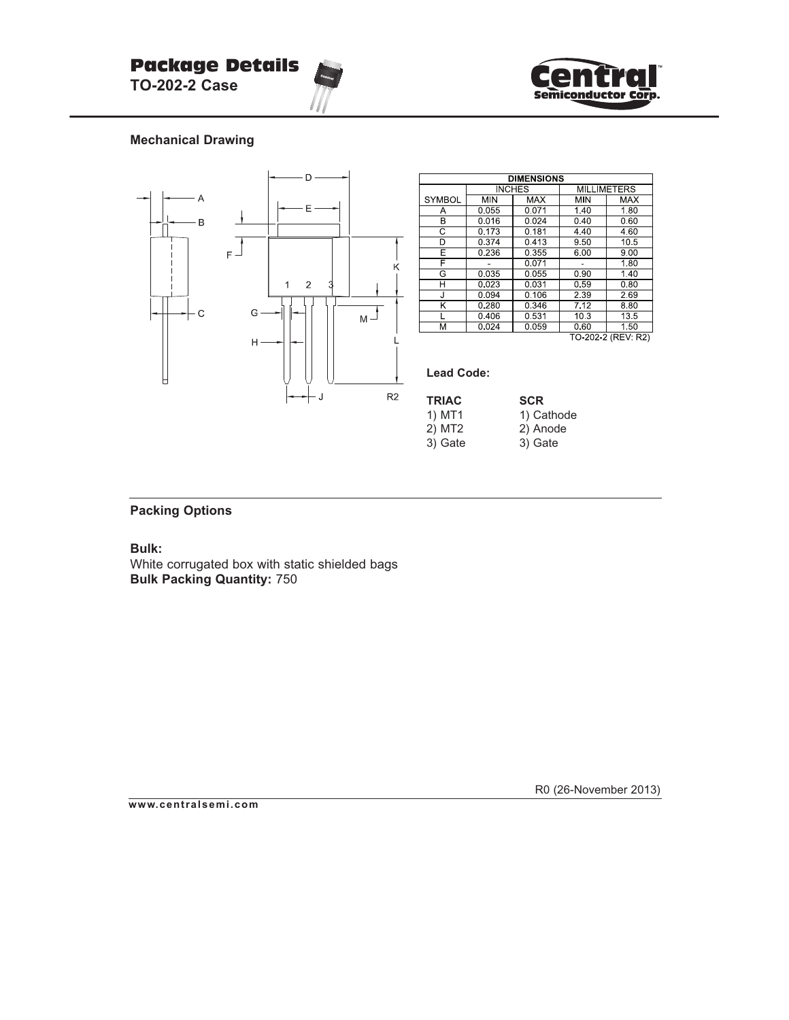



## **Mechanical Drawing**



| <b>DIMENSIONS</b>  |                      |            |                    |            |  |  |
|--------------------|----------------------|------------|--------------------|------------|--|--|
|                    | <b>INCHES</b>        |            | <b>MILLIMETERS</b> |            |  |  |
| <b>SYMBOL</b>      | <b>M<sub>N</sub></b> | <b>MAX</b> | MIN                | <b>MAX</b> |  |  |
| Α                  | 0.055                | 0.071      | 1.40               | 1.80       |  |  |
| В                  | 0.016                | 0.024      | 0.40               | 0.60       |  |  |
| C                  | 0.173                | 0.181      | 4.40               | 4.60       |  |  |
| D                  | 0.374                | 0.413      | 950                | 10.5       |  |  |
| E                  | 0.236                | 0.355      | 6.00               | 9.00       |  |  |
| F                  |                      | 0.071      |                    | 1.80       |  |  |
| G                  | 0.035                | 0.055      | 0.90               | 1.40       |  |  |
| н                  | 0.023                | 0.031      | 0.59               | 0.80       |  |  |
| J                  | 0.094                | 0.106      | 2.39               | 2.69       |  |  |
| ĸ                  | 0.280                | 0.346      | 7.12               | 8.80       |  |  |
|                    | 0.406                | 0.531      | 103                | 135        |  |  |
| М                  | 0.024                | 0.059      | 0.60               | 1.50       |  |  |
| TO-202-2 (REV: R2) |                      |            |                    |            |  |  |

## **Lead Code:**

| <b>TRIAC</b> | <b>SCR</b> |
|--------------|------------|
| 1) MT1       | 1) Cathode |
| 2) MT2       | 2) Anode   |
| 3) Gate      | 3) Gate    |
|              |            |

## **Packing Options**

**Bulk:**

White corrugated box with static shielded bags **Bulk Packing Quantity:** 750

R0 (26-November 2013)

**www.centralsemi.com**